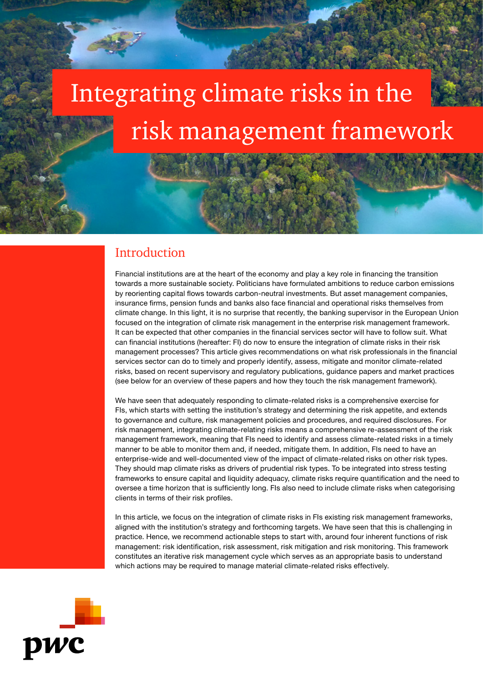# risk management framework Integrating climate risks in the

# **Introduction**

Financial institutions are at the heart of the economy and play a key role in financing the transition towards a more sustainable society. Politicians have formulated ambitions to reduce carbon emissions by reorienting capital flows towards carbon-neutral investments. But asset management companies, insurance firms, pension funds and banks also face financial and operational risks themselves from climate change. In this light, it is no surprise that recently, the banking supervisor in the European Union focused on the integration of climate risk management in the enterprise risk management framework. It can be expected that other companies in the financial services sector will have to follow suit. What can financial institutions (hereafter: FI) do now to ensure the integration of climate risks in their risk management processes? This article gives recommendations on what risk professionals in the financial services sector can do to timely and properly identify, assess, mitigate and monitor climate-related risks, based on recent supervisory and regulatory publications, guidance papers and market practices (see below for an overview of these papers and how they touch the risk management framework).

We have seen that adequately responding to climate-related risks is a comprehensive exercise for FIs, which starts with setting the institution's strategy and determining the risk appetite, and extends to governance and culture, risk management policies and procedures, and required disclosures. For risk management, integrating climate-relating risks means a comprehensive re-assessment of the risk management framework, meaning that FIs need to identify and assess climate-related risks in a timely manner to be able to monitor them and, if needed, mitigate them. In addition, FIs need to have an enterprise-wide and well-documented view of the impact of climate-related risks on other risk types. They should map climate risks as drivers of prudential risk types. To be integrated into stress testing frameworks to ensure capital and liquidity adequacy, climate risks require quantification and the need to oversee a time horizon that is sufficiently long. FIs also need to include climate risks when categorising clients in terms of their risk profiles.

In this article, we focus on the integration of climate risks in FIs existing risk management frameworks, aligned with the institution's strategy and forthcoming targets. We have seen that this is challenging in practice. Hence, we recommend actionable steps to start with, around four inherent functions of risk management: risk identification, risk assessment, risk mitigation and risk monitoring. This framework constitutes an iterative risk management cycle which serves as an appropriate basis to understand which actions may be required to manage material climate-related risks effectively.

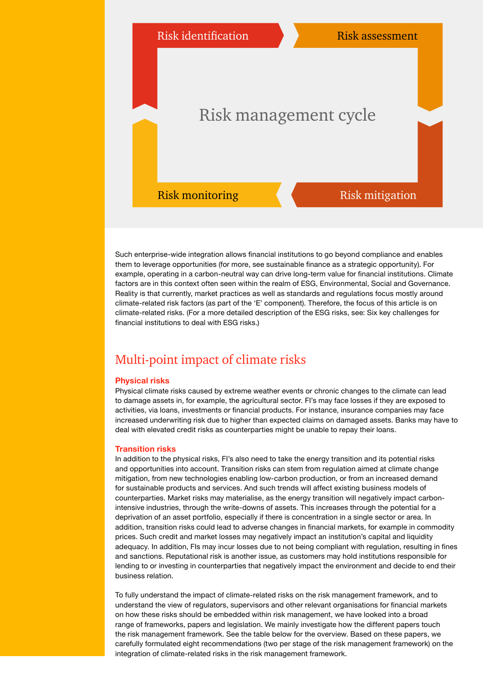

Such enterprise-wide integration allows financial institutions to go beyond compliance and enables them to leverage opportunities (for more, see sustainable finance as a strategic opportunity). For example, operating in a carbon-neutral way can drive long-term value for financial institutions. Climate factors are in this context often seen within the realm of ESG, Environmental, Social and Governance. Reality is that currently, market practices as well as standards and regulations focus mostly around climate-related risk factors (as part of the 'E' component). Therefore, the focus of this article is on climate-related risks. (For a more detailed description of the ESG risks, see: Six key challenges for financial institutions to deal with ESG risks.)

# Multi-point impact of climate risks

## Physical risks

Physical climate risks caused by extreme weather events or chronic changes to the climate can lead to damage assets in, for example, the agricultural sector. FI's may face losses if they are exposed to activities, via loans, investments or financial products. For instance, insurance companies may face increased underwriting risk due to higher than expected claims on damaged assets. Banks may have to deal with elevated credit risks as counterparties might be unable to repay their loans.

#### Transition risks

In addition to the physical risks, FI's also need to take the energy transition and its potential risks and opportunities into account. Transition risks can stem from regulation aimed at climate change mitigation, from new technologies enabling low-carbon production, or from an increased demand for sustainable products and services. And such trends will affect existing business models of counterparties. Market risks may materialise, as the energy transition will negatively impact carbonintensive industries, through the write-downs of assets. This increases through the potential for a deprivation of an asset portfolio, especially if there is concentration in a single sector or area. In addition, transition risks could lead to adverse changes in financial markets, for example in commodity prices. Such credit and market losses may negatively impact an institution's capital and liquidity adequacy. In addition, FIs may incur losses due to not being compliant with regulation, resulting in fines and sanctions. Reputational risk is another issue, as customers may hold institutions responsible for lending to or investing in counterparties that negatively impact the environment and decide to end their business relation.

To fully understand the impact of climate-related risks on the risk management framework, and to understand the view of regulators, supervisors and other relevant organisations for financial markets on how these risks should be embedded within risk management, we have looked into a broad range of frameworks, papers and legislation. We mainly investigate how the different papers touch the risk management framework. See the table below for the overview. Based on these papers, we carefully formulated eight recommendations (two per stage of the risk management framework) on the integration of climate-related risks in the risk management framework.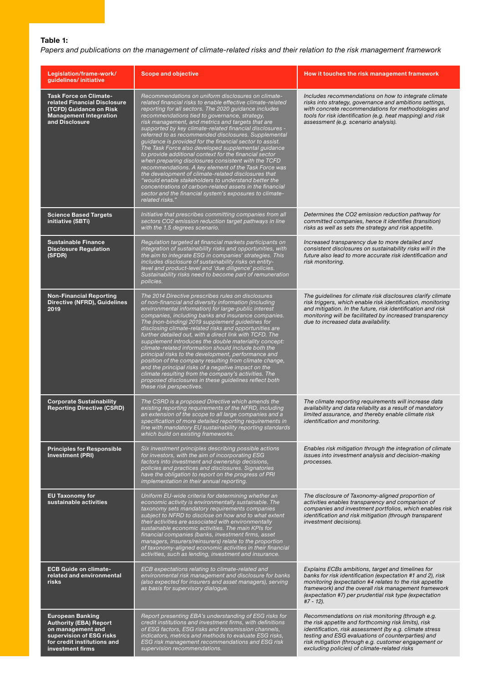# Table 1:

*Papers and publications on the management of climate-related risks and their relation to the risk management framework*

| Legislation/frame-work/<br>guidelines/initiative                                                                                                             | <b>Scope and objective</b>                                                                                                                                                                                                                                                                                                                                                                                                                                                                                                                                                                                                                                                                                                                                                                                                                                                                                                                               | How it touches the risk management framework                                                                                                                                                                                                                                                                                      |
|--------------------------------------------------------------------------------------------------------------------------------------------------------------|----------------------------------------------------------------------------------------------------------------------------------------------------------------------------------------------------------------------------------------------------------------------------------------------------------------------------------------------------------------------------------------------------------------------------------------------------------------------------------------------------------------------------------------------------------------------------------------------------------------------------------------------------------------------------------------------------------------------------------------------------------------------------------------------------------------------------------------------------------------------------------------------------------------------------------------------------------|-----------------------------------------------------------------------------------------------------------------------------------------------------------------------------------------------------------------------------------------------------------------------------------------------------------------------------------|
| <b>Task Force on Climate-</b><br>related Financial Disclosure<br>(TCFD) Guidance on Risk<br><b>Management Integration</b><br>and Disclosure                  | Recommendations on uniform disclosures on climate-<br>related financial risks to enable effective climate-related<br>reporting for all sectors. The 2020 guidance includes<br>recommendations tied to governance, strategy,<br>risk management, and metrics and targets that are<br>supported by key climate-related financial disclosures -<br>referred to as recommended disclosures. Supplemental<br>guidance is provided for the financial sector to assist.<br>The Task Force also developed supplemental guidance<br>to provide additional context for the financial sector<br>when preparing disclosures consistent with the TCFD<br>recommendations. A key element of the Task Force was<br>the development of climate-related disclosures that<br>"would enable stakeholders to understand better the<br>concentrations of carbon-related assets in the financial<br>sector and the financial system's exposures to climate-<br>related risks." | Includes recommendations on how to integrate climate<br>risks into strategy, governance and ambitions settings,<br>with concrete recommendations for methodologies and<br>tools for risk identification (e.g. heat mapping) and risk<br>assessment (e.g. scenario analysis).                                                      |
| <b>Science Based Targets</b><br>initiative (SBTi)                                                                                                            | Initiative that prescribes committing companies from all<br>sectors CO2 emission reduction target pathways in line<br>with the 1.5 degrees scenario.                                                                                                                                                                                                                                                                                                                                                                                                                                                                                                                                                                                                                                                                                                                                                                                                     | Determines the CO2 emission reduction pathway for<br>committed companies, hence it identifies (transition)<br>risks as well as sets the strategy and risk appetite.                                                                                                                                                               |
| <b>Sustainable Finance</b><br><b>Disclosure Regulation</b><br>(SFDR)                                                                                         | Regulation targeted at financial markets participants on<br>integration of sustainability risks and opportunities, with<br>the aim to integrate ESG in companies' strategies. This<br>includes disclosure of sustainability risks on entity-<br>level and product-level and 'due diligence' policies.<br>Sustainability risks need to become part of remuneration<br>policies.                                                                                                                                                                                                                                                                                                                                                                                                                                                                                                                                                                           | Increased transparency due to more detailed and<br>consistent disclosures on sustainability risks will in the<br>future also lead to more accurate risk identification and<br>risk monitoring.                                                                                                                                    |
| <b>Non-Financial Reporting</b><br>Directive (NFRD), Guidelines<br>2019                                                                                       | The 2014 Directive prescribes rules on disclosures<br>of non-financial and diversity information (including<br>environmental information) for large-public interest<br>companies, including banks and insurance companies.<br>The (non-binding) 2019 supplement guidelines for<br>disclosing climate-related risks and opportunities are<br>further detailed out, with a direct link with TCFD. The<br>supplement introduces the double materiality concept:<br>climate-related information should include both the<br>principal risks to the development, performance and<br>position of the company resulting from climate change,<br>and the principal risks of a negative impact on the<br>climate resulting from the company's activities. The<br>proposed disclosures in these guidelines reflect both<br>these risk perspectives.                                                                                                                 | The guidelines for climate risk disclosures clarify climate<br>risk triggers, which enable risk identification, monitoring<br>and mitigation. In the future, risk identification and risk<br>monitoring will be facilitated by increased transparency<br>due to increased data availability.                                      |
| <b>Corporate Sustainability</b><br><b>Reporting Directive (CSRD)</b>                                                                                         | The CSRD is a proposed Directive which amends the<br>existing reporting requirements of the NFRD, including<br>an extension of the scope to all large companies and a<br>specification of more detailed reporting requirements in<br>line with mandatory EU sustainability reporting standards<br>which build on existing frameworks.                                                                                                                                                                                                                                                                                                                                                                                                                                                                                                                                                                                                                    | The climate reporting requirements will increase data<br>availability and data reliabilty as a result of mandatory<br>limited assurance, and thereby enable climate risk<br>identification and monitoring.                                                                                                                        |
| <b>Principles for Responsible</b><br><b>Investment (PRI)</b>                                                                                                 | Six investment principles describing possible actions<br>for investors, with the aim of incorporating ESG<br>factors into investment and ownership decisions,<br>policies and practices and disclosures. Signatories<br>have the obligation to report on the progress of PRI<br>implementation in their annual reporting.                                                                                                                                                                                                                                                                                                                                                                                                                                                                                                                                                                                                                                | Enables risk mitigation through the integration of climate<br>issues into investment analysis and decision-making<br>processes.                                                                                                                                                                                                   |
| <b>EU Taxonomy for</b><br>sustainable activities                                                                                                             | Uniform EU-wide criteria for determining whether an<br>economic activity is environmentally sustainable. The<br>taxonomy sets mandatory requirements companies<br>subject to NFRD to disclose on how and to what extent<br>their activities are associated with environmentally<br>sustainable economic activities. The main KPIs for<br>financial companies (banks, investment firms, asset<br>managers, insurers/reinsurers) relate to the proportion<br>of taxonomy-aligned economic activities in their financial<br>activities, such as lending, investment and insurance.                                                                                                                                                                                                                                                                                                                                                                          | The disclosure of Taxonomy-aligned proportion of<br>activities enables transparency and comparison of<br>companies and investment portfolios, which enables risk<br>identification and risk mitigation (through transparent<br>investment decisions).                                                                             |
| <b>ECB Guide on climate-</b><br>related and environmental<br>risks                                                                                           | ECB expectations relating to climate-related and<br>environmental risk management and disclosure for banks<br>(also expected for insurers and asset managers), serving<br>as basis for supervisory dialogue.                                                                                                                                                                                                                                                                                                                                                                                                                                                                                                                                                                                                                                                                                                                                             | Explains ECBs ambitions, target and timelines for<br>banks for risk identification (expectation #1 and 2), risk<br>monitoring (expectation #4 relates to the risk appetite<br>framework) and the overall risk management framework<br>(expectation #7) per prudential risk type (expectation<br>$#7 - 12$ ).                      |
| <b>European Banking</b><br><b>Authority (EBA) Report</b><br>on management and<br>supervision of ESG risks<br>for credit institutions and<br>investment firms | Report presenting EBA's understanding of ESG risks for<br>credit institutions and investment firms, with definitions<br>of ESG factors, ESG risks and transmission channels,<br>indicators, metrics and methods to evaluate ESG risks,<br>ESG risk management recommendations and ESG risk<br>supervision recommendations.                                                                                                                                                                                                                                                                                                                                                                                                                                                                                                                                                                                                                               | Recommendations on risk monitoring (through e.g.<br>the risk appetite and forthcoming risk limits), risk<br>identification, risk assessment (by e.g. climate stress<br>testing and ESG evaluations of counterparties) and<br>risk mitigation (through e.g. customer engagement or<br>excluding policies) of climate-related risks |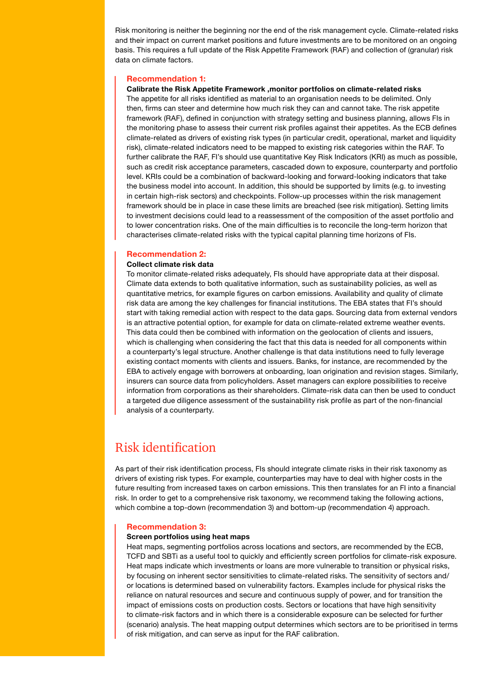Risk monitoring is neither the beginning nor the end of the risk management cycle. Climate-related risks and their impact on current market positions and future investments are to be monitored on an ongoing basis. This requires a full update of the Risk Appetite Framework (RAF) and collection of (granular) risk data on climate factors.

#### Recommendation 1:

## Calibrate the Risk Appetite Framework ,monitor portfolios on climate-related risks

The appetite for all risks identified as material to an organisation needs to be delimited. Only then, firms can steer and determine how much risk they can and cannot take. The risk appetite framework (RAF), defined in conjunction with strategy setting and business planning, allows FIs in the monitoring phase to assess their current risk profiles against their appetites. As the ECB defines climate-related as drivers of existing risk types (in particular credit, operational, market and liquidity risk), climate-related indicators need to be mapped to existing risk categories within the RAF. To further calibrate the RAF, FI's should use quantitative Key Risk Indicators (KRI) as much as possible, such as credit risk acceptance parameters, cascaded down to exposure, counterparty and portfolio level. KRIs could be a combination of backward-looking and forward-looking indicators that take the business model into account. In addition, this should be supported by limits (e.g. to investing in certain high-risk sectors) and checkpoints. Follow-up processes within the risk management framework should be in place in case these limits are breached (see risk mitigation). Setting limits to investment decisions could lead to a reassessment of the composition of the asset portfolio and to lower concentration risks. One of the main difficulties is to reconcile the long-term horizon that characterises climate-related risks with the typical capital planning time horizons of FIs.

#### Recommendation 2:

## Collect climate risk data

To monitor climate-related risks adequately, FIs should have appropriate data at their disposal. Climate data extends to both qualitative information, such as sustainability policies, as well as quantitative metrics, for example figures on carbon emissions. Availability and quality of climate risk data are among the key challenges for financial institutions. The EBA states that FI's should start with taking remedial action with respect to the data gaps. Sourcing data from external vendors is an attractive potential option, for example for data on climate-related extreme weather events. This data could then be combined with information on the geolocation of clients and issuers, which is challenging when considering the fact that this data is needed for all components within a counterparty's legal structure. Another challenge is that data institutions need to fully leverage existing contact moments with clients and issuers. Banks, for instance, are recommended by the EBA to actively engage with borrowers at onboarding, loan origination and revision stages. Similarly, insurers can source data from policyholders. Asset managers can explore possibilities to receive information from corporations as their shareholders. Climate-risk data can then be used to conduct a targeted due diligence assessment of the sustainability risk profile as part of the non-financial analysis of a counterparty.

# Risk identification

As part of their risk identification process, FIs should integrate climate risks in their risk taxonomy as drivers of existing risk types. For example, counterparties may have to deal with higher costs in the future resulting from increased taxes on carbon emissions. This then translates for an FI into a financial risk. In order to get to a comprehensive risk taxonomy, we recommend taking the following actions, which combine a top-down (recommendation 3) and bottom-up (recommendation 4) approach.

#### Recommendation 3:

#### Screen portfolios using heat maps

Heat maps, segmenting portfolios across locations and sectors, are recommended by the ECB, TCFD and SBTi as a useful tool to quickly and efficiently screen portfolios for climate-risk exposure. Heat maps indicate which investments or loans are more vulnerable to transition or physical risks, by focusing on inherent sector sensitivities to climate-related risks. The sensitivity of sectors and/ or locations is determined based on vulnerability factors. Examples include for physical risks the reliance on natural resources and secure and continuous supply of power, and for transition the impact of emissions costs on production costs. Sectors or locations that have high sensitivity to climate-risk factors and in which there is a considerable exposure can be selected for further (scenario) analysis. The heat mapping output determines which sectors are to be prioritised in terms of risk mitigation, and can serve as input for the RAF calibration.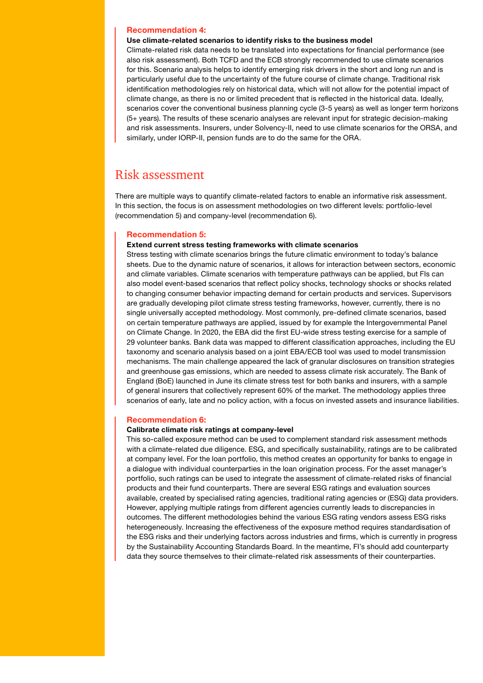## Recommendation 4:

#### Use climate-related scenarios to identify risks to the business model

Climate-related risk data needs to be translated into expectations for financial performance (see also risk assessment). Both TCFD and the ECB strongly recommended to use climate scenarios for this. Scenario analysis helps to identify emerging risk drivers in the short and long run and is particularly useful due to the uncertainty of the future course of climate change. Traditional risk identification methodologies rely on historical data, which will not allow for the potential impact of climate change, as there is no or limited precedent that is reflected in the historical data. Ideally, scenarios cover the conventional business planning cycle (3-5 years) as well as longer term horizons (5+ years). The results of these scenario analyses are relevant input for strategic decision-making and risk assessments. Insurers, under Solvency-II, need to use climate scenarios for the ORSA, and similarly, under IORP-II, pension funds are to do the same for the ORA.

# Risk assessment

There are multiple ways to quantify climate-related factors to enable an informative risk assessment. In this section, the focus is on assessment methodologies on two different levels: portfolio-level (recommendation 5) and company-level (recommendation 6).

#### Recommendation 5:

#### Extend current stress testing frameworks with climate scenarios

Stress testing with climate scenarios brings the future climatic environment to today's balance sheets. Due to the dynamic nature of scenarios, it allows for interaction between sectors, economic and climate variables. Climate scenarios with temperature pathways can be applied, but FIs can also model event-based scenarios that reflect policy shocks, technology shocks or shocks related to changing consumer behavior impacting demand for certain products and services. Supervisors are gradually developing pilot climate stress testing frameworks, however, currently, there is no single universally accepted methodology. Most commonly, pre-defined climate scenarios, based on certain temperature pathways are applied, issued by for example the Intergovernmental Panel on Climate Change. In 2020, the EBA did the first EU-wide stress testing exercise for a sample of 29 volunteer banks. Bank data was mapped to different classification approaches, including the EU taxonomy and scenario analysis based on a joint EBA/ECB tool was used to model transmission mechanisms. The main challenge appeared the lack of granular disclosures on transition strategies and greenhouse gas emissions, which are needed to assess climate risk accurately. The Bank of England (BoE) launched in June its climate stress test for both banks and insurers, with a sample of general insurers that collectively represent 60% of the market. The methodology applies three scenarios of early, late and no policy action, with a focus on invested assets and insurance liabilities.

#### Recommendation 6:

#### Calibrate climate risk ratings at company-level

This so-called exposure method can be used to complement standard risk assessment methods with a climate-related due diligence. ESG, and specifically sustainability, ratings are to be calibrated at company level. For the loan portfolio, this method creates an opportunity for banks to engage in a dialogue with individual counterparties in the loan origination process. For the asset manager's portfolio, such ratings can be used to integrate the assessment of climate-related risks of financial products and their fund counterparts. There are several ESG ratings and evaluation sources available, created by specialised rating agencies, traditional rating agencies or (ESG) data providers. However, applying multiple ratings from different agencies currently leads to discrepancies in outcomes. The different methodologies behind the various ESG rating vendors assess ESG risks heterogeneously. Increasing the effectiveness of the exposure method requires standardisation of the ESG risks and their underlying factors across industries and firms, which is currently in progress by the Sustainability Accounting Standards Board. In the meantime, FI's should add counterparty data they source themselves to their climate-related risk assessments of their counterparties.